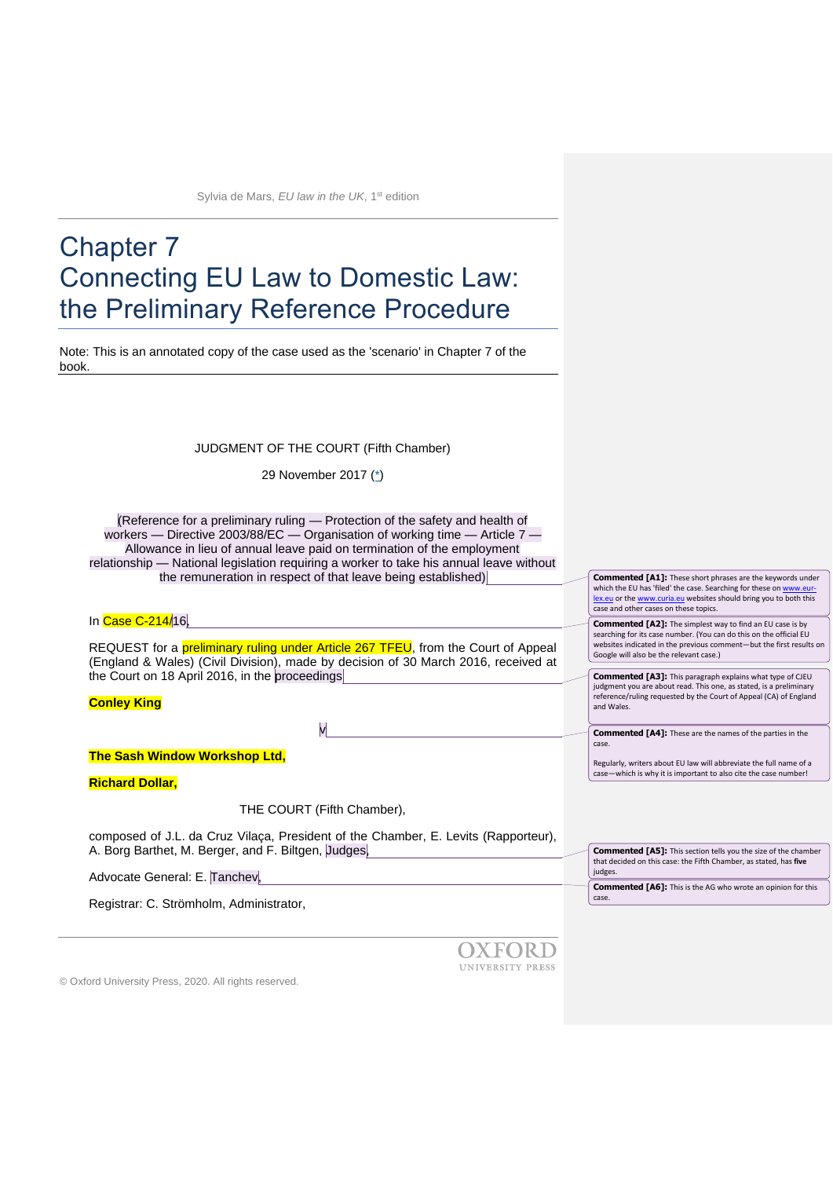# Chapter 7 Connecting EU Law to Domestic Law: the Preliminary Reference Procedure

Note: This is an annotated copy of the case used as the 'scenario' in Chapter 7 of the book.

JUDGMENT OF THE COURT (Fifth Chamber)

29 November 2017 [\(\\*\)](http://curia.europa.eu/juris/document/document.jsf?docid=197263&pageIndex=0&doclang=EN#Footnote*)

(Reference for a preliminary ruling — Protection of the safety and health of workers — Directive 2003/88/EC — Organisation of working time — Article 7 — Allowance in lieu of annual leave paid on termination of the employment relationship — National legislation requiring a worker to take his annual leave without the remuneration in respect of that leave being established)

In Case C-214/16,

REQUEST for a **preliminary ruling under Article 267 TFEU**, from the Court of Appeal (England & Wales) (Civil Division), made by decision of 30 March 2016, received at the Court on 18 April 2016, in the proceedings

v

## **Conley King**

**The Sash Window Workshop Ltd,**

**Richard Dollar,**

THE COURT (Fifth Chamber),

composed of J.L. da Cruz Vilaça, President of the Chamber, E. Levits (Rapporteur), A. Borg Barthet, M. Berger, and F. Biltgen, Judges,

Advocate General: E. Tanchev,

Registrar: C. Strömholm, Administrator,

OXFORD UNIVERSITY PRESS case. Regularly, writers about EU law will abbreviate the full name of a case—which is why it is important to also cite the case number!

© Oxford University Press, 2020. All rights reserved.

searching for its case number. (You can do this on the official EU websites indicated in the previous comment—but the first results on Google will also be the relevant case.) **Commented [A3]:** This paragraph explains what type of CJEU judgment you are about read. This one, as stated, is a preliminary reference/ruling requested by the Court of Appeal (CA) of England and Wales.

**Commented [A1]:** These short phrases are the keywords under which the EU has 'filed' the case. Searching for these on ww [lex.eu](http://www.eur-lex.eu/) or th[e www.curia.eu](http://www.curia.eu/) websites should bring you to both this

**Commented [A2]:** The simplest way to find an EU case is by

case and other cases on these topics.

judges

case.

**Commented [A4]:** These are the names of the parties in the

**Commented [A5]:** This section tells you the size of the chamber that decided on this case: the Fifth Chamber, as stated, has **five**

**Commented [A6]:** This is the AG who wrote an opinion for this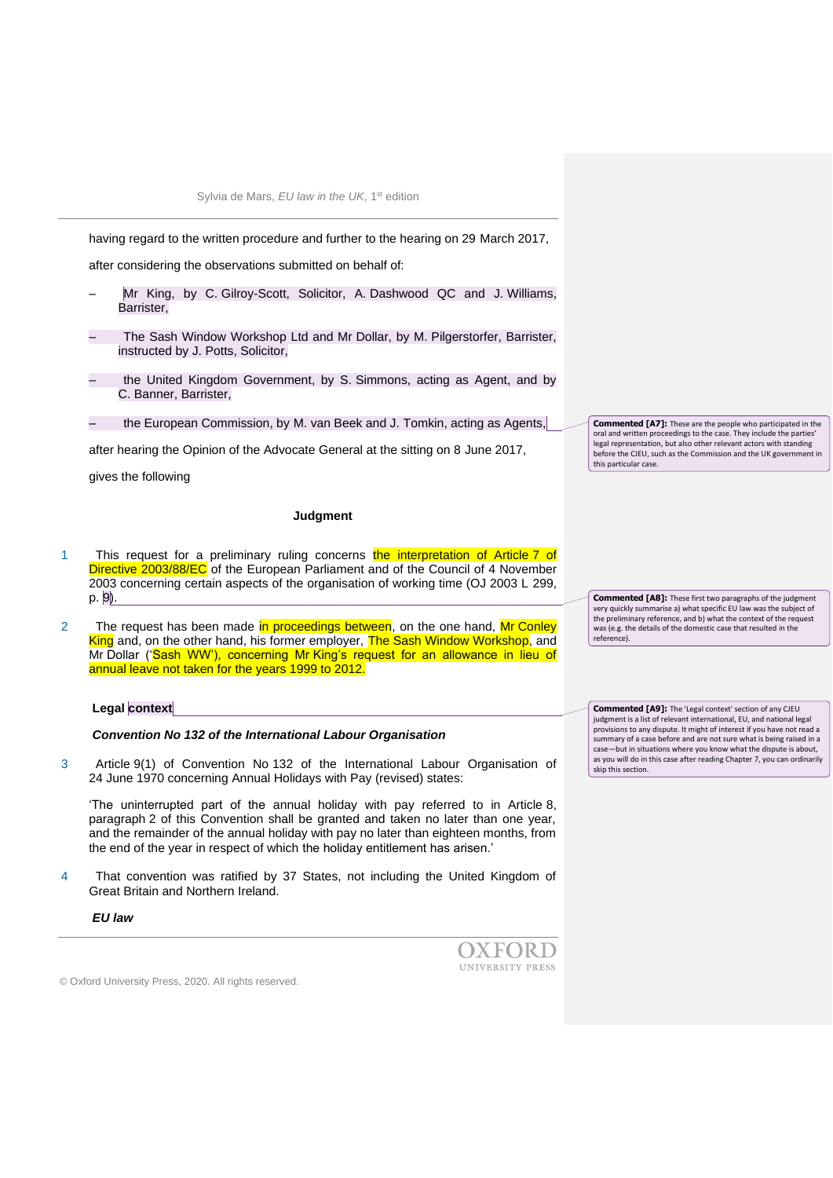having regard to the written procedure and further to the hearing on 29 March 2017,

after considering the observations submitted on behalf of:

- Mr King, by C. Gilroy-Scott, Solicitor, A. Dashwood QC and J. Williams, Barrister,
- The Sash Window Workshop Ltd and Mr Dollar, by M. Pilgerstorfer, Barrister, instructed by J. Potts, Solicitor,
- the United Kingdom Government, by S. Simmons, acting as Agent, and by C. Banner, Barrister,
- the European Commission, by M. van Beek and J. Tomkin, acting as Agents,

after hearing the Opinion of the Advocate General at the sitting on 8 June 2017,

gives the following

## **Judgment**

- 1 This request for a preliminary ruling concerns the interpretation of Article 7 of Directive 2003/88/EC of the European Parliament and of the Council of 4 November 2003 concerning certain aspects of the organisation of working time (OJ 2003 L 299, p. 9).
- 2 The request has been made in proceedings between, on the one hand, Mr Conley King and, on the other hand, his former employer, The Sash Window Workshop, and Mr Dollar ('Sash WW'), concerning Mr King's request for an allowance in lieu of annual leave not taken for the years 1999 to 2012.

#### **Legal context**

#### *Convention No 132 of the International Labour Organisation*

3 Article 9(1) of Convention No 132 of the International Labour Organisation of 24 June 1970 concerning Annual Holidays with Pay (revised) states:

'The uninterrupted part of the annual holiday with pay referred to in Article 8, paragraph 2 of this Convention shall be granted and taken no later than one year, and the remainder of the annual holiday with pay no later than eighteen months, from the end of the year in respect of which the holiday entitlement has arisen.'

4 That convention was ratified by 37 States, not including the United Kingdom of Great Britain and Northern Ireland.

*EU law*

**OXFORD** UNIVERSITY PRESS

© Oxford University Press, 2020. All rights reserved.

**Commented [A7]:** These are the people who participated in the oral and written proceedings to the case. They include the parties' legal representation, but also other relevant actors with standing before the CJEU, such as the Commission and the UK government in this particular case.

**Commented [A8]:** These first two paragraphs of the judgment very quickly summarise a) what specific EU law was the subject of the preliminary reference, and b) what the context of the request was (e.g. the details of the domestic case that resulted in the reference).

**Commented [A9]:** The 'Legal context' section of any CJEU judgment is a list of relevant international, EU, and national legal provisions to any dispute. It might of interest if you have not read a summary of a case before and are not sure what is being raised in a case—but in situations where you know what the dispute is about, as you will do in this case after reading Chapter 7, you can ordinarily skip this section.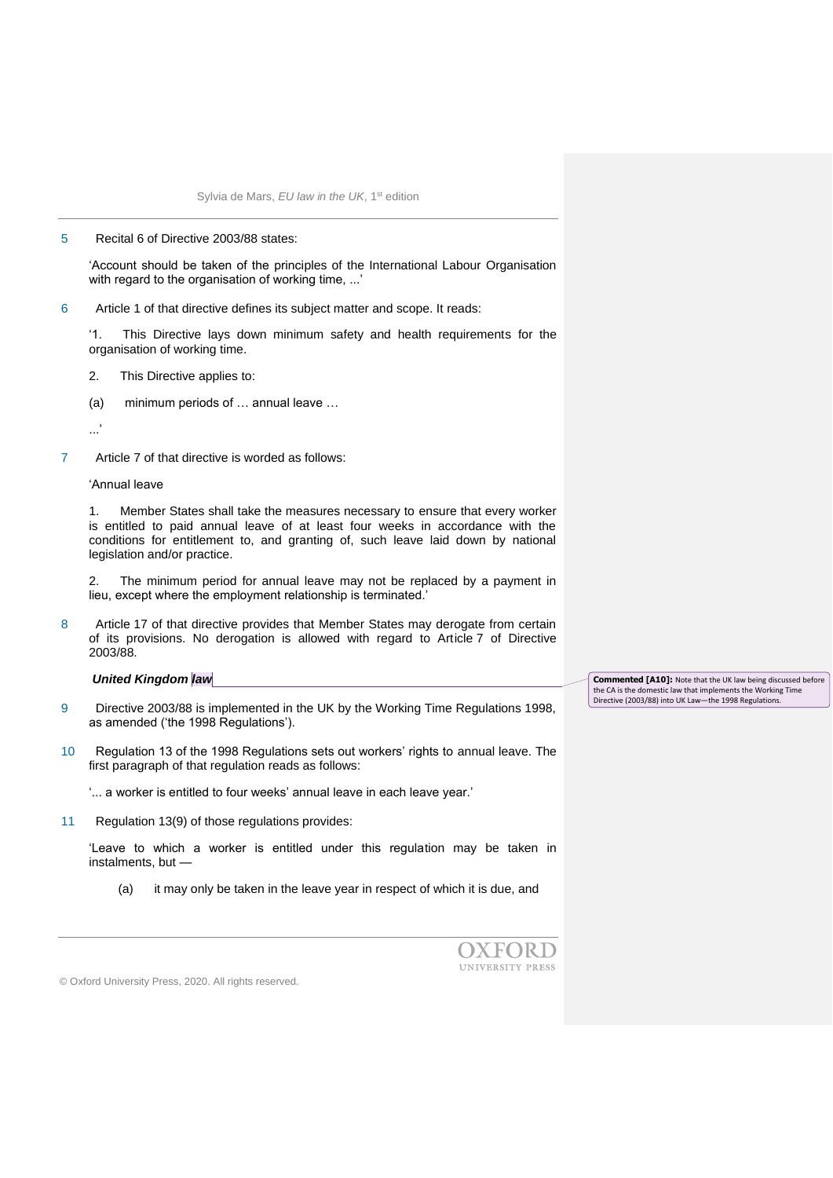#### 5 Recital 6 of Directive 2003/88 states:

'Account should be taken of the principles of the International Labour Organisation with regard to the organisation of working time, ...'

6 Article 1 of that directive defines its subject matter and scope. It reads:

'1. This Directive lays down minimum safety and health requirements for the organisation of working time.

- 2. This Directive applies to:
- (a) minimum periods of … annual leave …

...'

7 Article 7 of that directive is worded as follows:

'Annual leave

1. Member States shall take the measures necessary to ensure that every worker is entitled to paid annual leave of at least four weeks in accordance with the conditions for entitlement to, and granting of, such leave laid down by national legislation and/or practice.

2. The minimum period for annual leave may not be replaced by a payment in lieu, except where the employment relationship is terminated.'

8 Article 17 of that directive provides that Member States may derogate from certain of its provisions. No derogation is allowed with regard to Article 7 of Directive 2003/88.

## *United Kingdom law*

- 9 Directive 2003/88 is implemented in the UK by the Working Time Regulations 1998, as amended ('the 1998 Regulations').
- 10 Regulation 13 of the 1998 Regulations sets out workers' rights to annual leave. The first paragraph of that regulation reads as follows:

'... a worker is entitled to four weeks' annual leave in each leave year.'

11 Regulation 13(9) of those regulations provides:

'Leave to which a worker is entitled under this regulation may be taken in instalments, but —

(a) it may only be taken in the leave year in respect of which it is due, and



© Oxford University Press, 2020. All rights reserved.

**Commented [A10]:** Note that the UK law being discussed before the CA is the domestic law that implements the Working Time Directive (2003/88) into UK Law—the 1998 Regulations.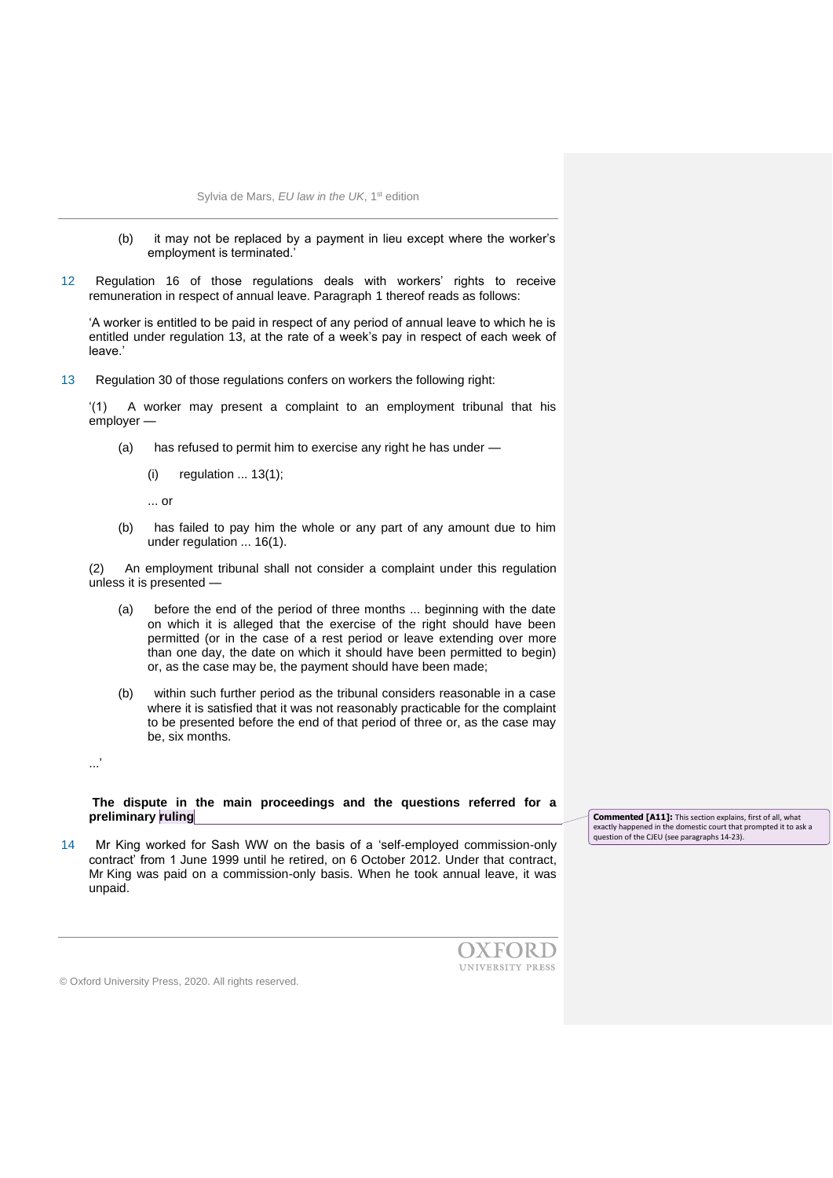- (b) it may not be replaced by a payment in lieu except where the worker's employment is terminated.'
- 12 Regulation 16 of those regulations deals with workers' rights to receive remuneration in respect of annual leave. Paragraph 1 thereof reads as follows:

'A worker is entitled to be paid in respect of any period of annual leave to which he is entitled under regulation 13, at the rate of a week's pay in respect of each week of leave.'

13 Regulation 30 of those regulations confers on workers the following right:

'(1) A worker may present a complaint to an employment tribunal that his employer —

- (a) has refused to permit him to exercise any right he has under
	- (i) regulation ... 13(1);

... or

(b) has failed to pay him the whole or any part of any amount due to him under regulation ... 16(1).

(2) An employment tribunal shall not consider a complaint under this regulation unless it is presented —

- (a) before the end of the period of three months ... beginning with the date on which it is alleged that the exercise of the right should have been permitted (or in the case of a rest period or leave extending over more than one day, the date on which it should have been permitted to begin) or, as the case may be, the payment should have been made;
- (b) within such further period as the tribunal considers reasonable in a case where it is satisfied that it was not reasonably practicable for the complaint to be presented before the end of that period of three or, as the case may be, six months.

...'

**The dispute in the main proceedings and the questions referred for a preliminary ruling**

14 Mr King worked for Sash WW on the basis of a 'self-employed commission-only contract' from 1 June 1999 until he retired, on 6 October 2012. Under that contract, Mr King was paid on a commission-only basis. When he took annual leave, it was unpaid.

**Commented [A11]:** This section explains, first of all, what exactly happened in the domestic court that prompted it to ask a question of the CJEU (see paragraphs 14-23).

OXFORD UNIVERSITY PRESS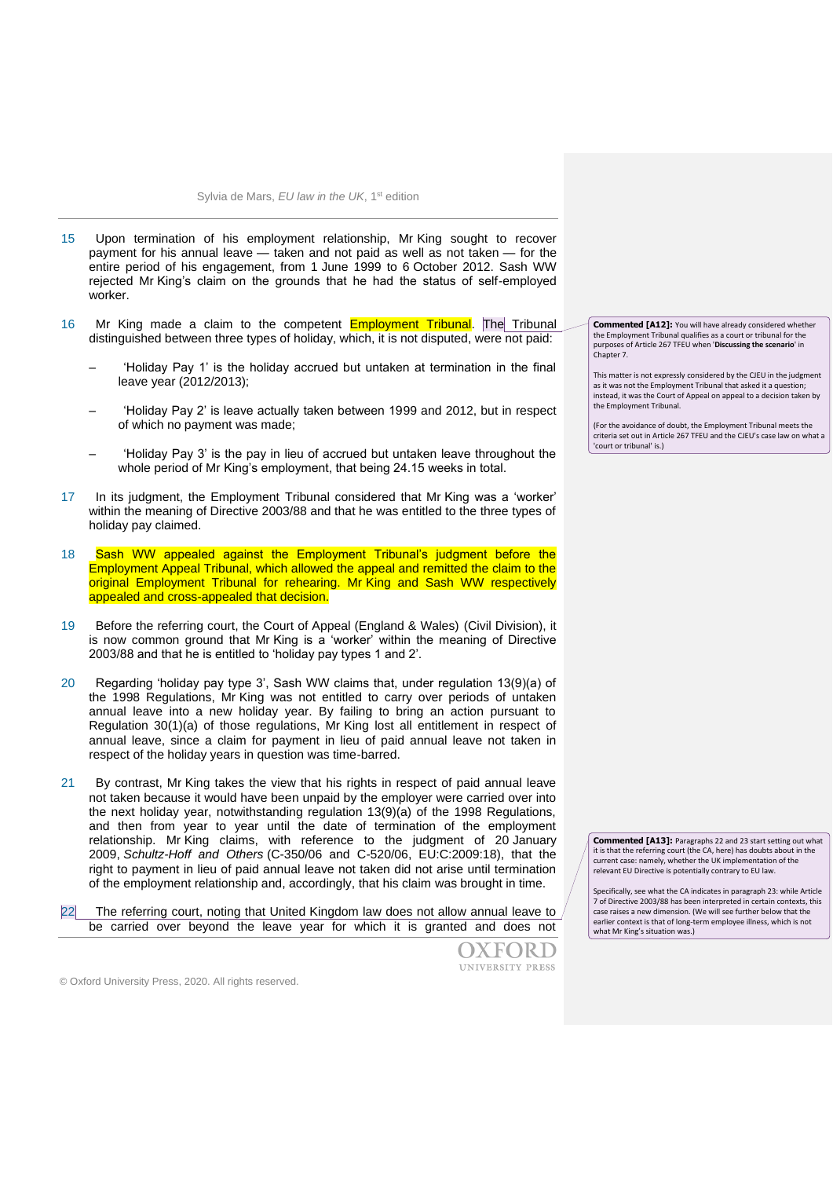- 15 Upon termination of his employment relationship, Mr King sought to recover payment for his annual leave — taken and not paid as well as not taken — for the entire period of his engagement, from 1 June 1999 to 6 October 2012. Sash WW rejected Mr King's claim on the grounds that he had the status of self-employed worker.
- 16 Mr King made a claim to the competent **Employment Tribunal**. The Tribunal distinguished between three types of holiday, which, it is not disputed, were not paid:
	- 'Holiday Pay 1' is the holiday accrued but untaken at termination in the final leave year (2012/2013);
	- 'Holiday Pay 2' is leave actually taken between 1999 and 2012, but in respect of which no payment was made;
	- 'Holiday Pay 3' is the pay in lieu of accrued but untaken leave throughout the whole period of Mr King's employment, that being 24.15 weeks in total.
- 17 In its judgment, the Employment Tribunal considered that Mr King was a 'worker' within the meaning of Directive 2003/88 and that he was entitled to the three types of holiday pay claimed.
- 18 Sash WW appealed against the Employment Tribunal's judgment before the Employment Appeal Tribunal, which allowed the appeal and remitted the claim to the original Employment Tribunal for rehearing. Mr King and Sash WW respectively appealed and cross-appealed that decision.
- 19 Before the referring court, the Court of Appeal (England & Wales) (Civil Division), it is now common ground that Mr King is a 'worker' within the meaning of Directive 2003/88 and that he is entitled to 'holiday pay types 1 and 2'.
- 20 Regarding 'holiday pay type 3', Sash WW claims that, under regulation 13(9)(a) of the 1998 Regulations, Mr King was not entitled to carry over periods of untaken annual leave into a new holiday year. By failing to bring an action pursuant to Regulation 30(1)(a) of those regulations, Mr King lost all entitlement in respect of annual leave, since a claim for payment in lieu of paid annual leave not taken in respect of the holiday years in question was time-barred.
- 21 By contrast, Mr King takes the view that his rights in respect of paid annual leave not taken because it would have been unpaid by the employer were carried over into the next holiday year, notwithstanding regulation 13(9)(a) of the 1998 Regulations, and then from year to year until the date of termination of the employment relationship. Mr King claims, with reference to the judgment of 20 January 2009, *Schultz-Hoff and Others* (C-350/06 and C-520/06, EU:C:2009:18), that the right to payment in lieu of paid annual leave not taken did not arise until termination of the employment relationship and, accordingly, that his claim was brought in time.
- 22 The referring court, noting that United Kingdom law does not allow annual leave to be carried over beyond the leave year for which it is granted and does not



**Commented [A12]:** You will have already considered whether the Employment Tribunal qualifies as a court or tribunal for the purposes of Article 267 TFEU when '**Discussing the scenario**' in Chapter 7.

This matter is not expressly considered by the CJEU in the judgment as it was not the Employment Tribunal that asked it a question; instead, it was the Court of Appeal on appeal to a decision taken by the Employment Tribunal.

(For the avoidance of doubt, the Employment Tribunal meets the criteria set out in Article 267 TFEU and the CJEU's case law on what a 'court or tribunal' is.)

**Commented [A13]:** Paragraphs 22 and 23 start setting out what it is that the referring court (the CA, here) has doubts about in the current case: namely, whether the UK implementation of the relevant EU Directive is potentially contrary to EU law.

Specifically, see what the CA indicates in paragraph 23: while Article 7 of Directive 2003/88 has been interpreted in certain contexts, this case raises a new dimension. (We will see further below that the earlier context is that of long-term employee illness, which is not what Mr King's situation was.)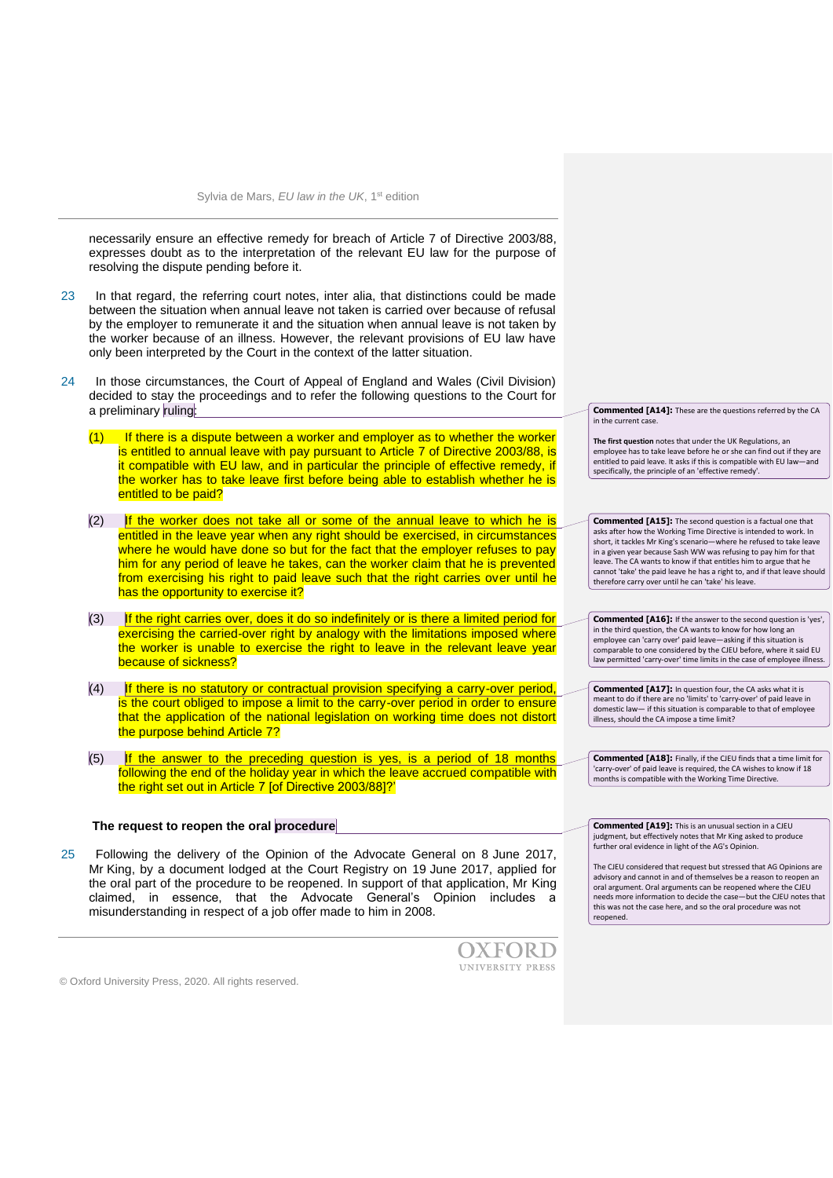necessarily ensure an effective remedy for breach of Article 7 of Directive 2003/88, expresses doubt as to the interpretation of the relevant EU law for the purpose of resolving the dispute pending before it.

- 23 In that regard, the referring court notes, inter alia, that distinctions could be made between the situation when annual leave not taken is carried over because of refusal by the employer to remunerate it and the situation when annual leave is not taken by the worker because of an illness. However, the relevant provisions of EU law have only been interpreted by the Court in the context of the latter situation.
- 24 In those circumstances, the Court of Appeal of England and Wales (Civil Division) decided to stay the proceedings and to refer the following questions to the Court for a preliminary ruling:
	- $(1)$  If there is a dispute between a worker and employer as to whether the worker is entitled to annual leave with pay pursuant to Article 7 of Directive 2003/88, is it compatible with EU law, and in particular the principle of effective remedy, if the worker has to take leave first before being able to establish whether he is entitled to be paid?
	- $(2)$  If the worker does not take all or some of the annual leave to which he is entitled in the leave year when any right should be exercised, in circumstances where he would have done so but for the fact that the employer refuses to pay him for any period of leave he takes, can the worker claim that he is prevented from exercising his right to paid leave such that the right carries over until he has the opportunity to exercise it?
	- (3) If the right carries over, does it do so indefinitely or is there a limited period for exercising the carried-over right by analogy with the limitations imposed where the worker is unable to exercise the right to leave in the relevant leave year because of sickness?
	- $(4)$  If there is no statutory or contractual provision specifying a carry-over period, is the court obliged to impose a limit to the carry-over period in order to ensure that the application of the national legislation on working time does not distort the purpose behind Article 7?
	- $(5)$  If the answer to the preceding question is yes, is a period of 18 months following the end of the holiday year in which the leave accrued compatible with the right set out in Article 7 [of Directive 2003/88]?'

# **The request to reopen the oral procedure**

25 Following the delivery of the Opinion of the Advocate General on 8 June 2017, Mr King, by a document lodged at the Court Registry on 19 June 2017, applied for the oral part of the procedure to be reopened. In support of that application, Mr King claimed, in essence, that the Advocate General's Opinion includes a misunderstanding in respect of a job offer made to him in 2008.



© Oxford University Press, 2020. All rights reserved.

**Commented [A14]:** These are the questions referred by the CA in the current case.

**The first question** notes that under the UK Regulations, an employee has to take leave before he or she can find out if they are entitled to paid leave. It asks if this is compatible with EU law—and specifically, the principle of an 'effective remedy'.

**Commented [A15]:** The second question is a factual one that asks after how the Working Time Directive is intended to work. In short, it tackles Mr King's scenario—where he refused to take leave in a given year because Sash WW was refusing to pay him for that leave. The CA wants to know if that entitles him to argue that he cannot 'take' the paid leave he has a right to, and if that leave should therefore carry over until he can 'take' his leave.

**Commented [A16]:** If the answer to the second question is 'yes', in the third question, the CA wants to know for how long an employee can 'carry over' paid leave-asking if this situation is comparable to one considered by the CJEU before, where it said EU law permitted 'carry-over' time limits in the case of employee illness.

**Commented [A17]:** In question four, the CA asks what it is meant to do if there are no 'limits' to 'carry-over' of paid leave in domestic law— if this situation is comparable to that of employee illness, should the CA impose a time limit?

**Commented [A18]:** Finally, if the CJEU finds that a time limit for 'carry-over' of paid leave is required, the CA wishes to know if 18 months is compatible with the Working Time Directive.

**Commented [A19]:** This is an unusual section in a CJEU judgment, but effectively notes that Mr King asked to produce further oral evidence in light of the AG's Opinion.

The CJEU considered that request but stressed that AG Opinions are advisory and cannot in and of themselves be a reason to reopen an oral argument. Oral arguments can be reopened where the CJEU needs more information to decide the case—but the CJEU notes that this was not the case here, and so the oral procedure was not reopened.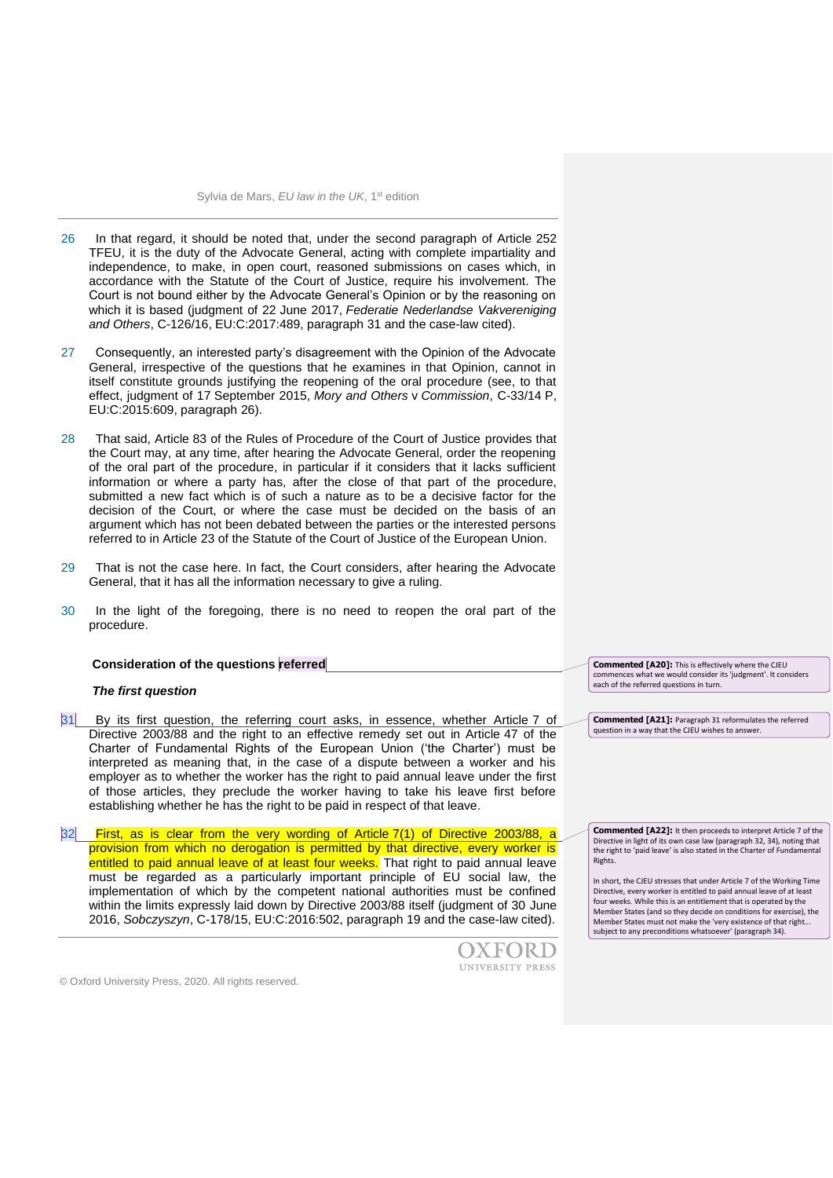- 26 In that regard, it should be noted that, under the second paragraph of Article 252 TFEU, it is the duty of the Advocate General, acting with complete impartiality and independence, to make, in open court, reasoned submissions on cases which, in accordance with the Statute of the Court of Justice, require his involvement. The Court is not bound either by the Advocate General's Opinion or by the reasoning on which it is based (judgment of 22 June 2017, *Federatie Nederlandse Vakvereniging and Others*, C-126/16, EU:C:2017:489, paragraph 31 and the case-law cited).
- 27 Consequently, an interested party's disagreement with the Opinion of the Advocate General, irrespective of the questions that he examines in that Opinion, cannot in itself constitute grounds justifying the reopening of the oral procedure (see, to that effect, judgment of 17 September 2015, *Mory and Others* v *Commission*, C-33/14 P, EU:C:2015:609, paragraph 26).
- 28 That said, Article 83 of the Rules of Procedure of the Court of Justice provides that the Court may, at any time, after hearing the Advocate General, order the reopening of the oral part of the procedure, in particular if it considers that it lacks sufficient information or where a party has, after the close of that part of the procedure, submitted a new fact which is of such a nature as to be a decisive factor for the decision of the Court, or where the case must be decided on the basis of an argument which has not been debated between the parties or the interested persons referred to in Article 23 of the Statute of the Court of Justice of the European Union.
- 29 That is not the case here. In fact, the Court considers, after hearing the Advocate General, that it has all the information necessary to give a ruling.
- 30 In the light of the foregoing, there is no need to reopen the oral part of the procedure.

#### **Consideration of the questions referred**

#### *The first question*

31 By its first question, the referring court asks, in essence, whether Article 7 of Directive 2003/88 and the right to an effective remedy set out in Article 47 of the Charter of Fundamental Rights of the European Union ('the Charter') must be interpreted as meaning that, in the case of a dispute between a worker and his employer as to whether the worker has the right to paid annual leave under the first of those articles, they preclude the worker having to take his leave first before establishing whether he has the right to be paid in respect of that leave.

32 First, as is clear from the very wording of Article 7(1) of Directive 2003/88, a provision from which no derogation is permitted by that directive, every worker is entitled to paid annual leave of at least four weeks. That right to paid annual leave must be regarded as a particularly important principle of EU social law, the implementation of which by the competent national authorities must be confined within the limits expressly laid down by Directive 2003/88 itself (judgment of 30 June 2016, *Sobczyszyn*, C-178/15, EU:C:2016:502, paragraph 19 and the case-law cited).



**Commented [A21]:** Paragraph 31 reformulates the referred question in a way that the CJEU wishes to answer.

**Commented [A20]:** This is effectively where the CJEU commences what we would consider its 'judgment'. It considers

each of the referred questions in turn.

**Commented [A22]:** It then proceeds to interpret Article 7 of the Directive in light of its own case law (paragraph 32, 34), noting that the right to 'paid leave' is also stated in the Charter of Fundamental Rights.

In short, the CJEU stresses that under Article 7 of the Working Time Directive, every worker is entitled to paid annual leave of at least four weeks. While this is an entitlement that is operated by the Member States (and so they decide on conditions for exercise), the Member States must not make the 'very existence of that right... subject to any preconditions whatsoever' (paragraph 34).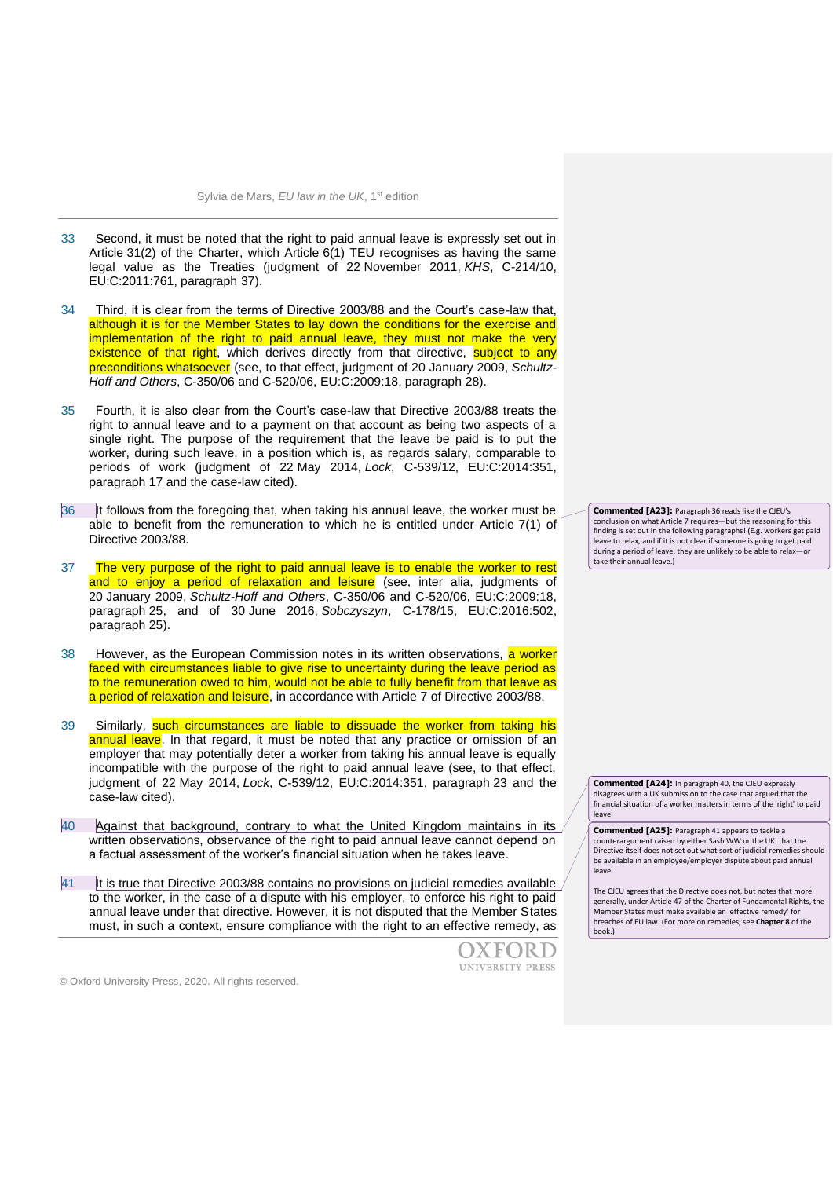- 33 Second, it must be noted that the right to paid annual leave is expressly set out in Article 31(2) of the Charter, which Article 6(1) TEU recognises as having the same legal value as the Treaties (judgment of 22 November 2011, *KHS*, C-214/10, EU:C:2011:761, paragraph 37).
- 34 Third, it is clear from the terms of Directive 2003/88 and the Court's case-law that, although it is for the Member States to lay down the conditions for the exercise and implementation of the right to paid annual leave, they must not make the very existence of that right, which derives directly from that directive, subject to any preconditions whatsoever (see, to that effect, judgment of 20 January 2009, *Schultz-Hoff and Others*, C-350/06 and C-520/06, EU:C:2009:18, paragraph 28).
- 35 Fourth, it is also clear from the Court's case-law that Directive 2003/88 treats the right to annual leave and to a payment on that account as being two aspects of a single right. The purpose of the requirement that the leave be paid is to put the worker, during such leave, in a position which is, as regards salary, comparable to periods of work (judgment of 22 May 2014, *Lock*, C-539/12, EU:C:2014:351, paragraph 17 and the case-law cited).
- 36 It follows from the foregoing that, when taking his annual leave, the worker must be able to benefit from the remuneration to which he is entitled under Article 7(1) of Directive 2003/88.
- 37 The very purpose of the right to paid annual leave is to enable the worker to rest and to enjoy a period of relaxation and leisure (see, inter alia, judgments of 20 January 2009, *Schultz-Hoff and Others*, C-350/06 and C-520/06, EU:C:2009:18, paragraph 25, and of 30 June 2016, *Sobczyszyn*, C-178/15, EU:C:2016:502, paragraph 25).
- 38 However, as the European Commission notes in its written observations, a worker faced with circumstances liable to give rise to uncertainty during the leave period as to the remuneration owed to him, would not be able to fully benefit from that leave as a period of relaxation and leisure, in accordance with Article 7 of Directive 2003/88.
- 39 Similarly, such circumstances are liable to dissuade the worker from taking his annual leave. In that regard, it must be noted that any practice or omission of an employer that may potentially deter a worker from taking his annual leave is equally incompatible with the purpose of the right to paid annual leave (see, to that effect, judgment of 22 May 2014, *Lock*, C-539/12, EU:C:2014:351, paragraph 23 and the case-law cited).
- 40 Against that background, contrary to what the United Kingdom maintains in its written observations, observance of the right to paid annual leave cannot depend on a factual assessment of the worker's financial situation when he takes leave.
- 41 It is true that Directive 2003/88 contains no provisions on judicial remedies available to the worker, in the case of a dispute with his employer, to enforce his right to paid annual leave under that directive. However, it is not disputed that the Member States must, in such a context, ensure compliance with the right to an effective remedy, as

OXFORD UNIVERSITY PRESS

**Commented [A23]:** Paragraph 36 reads like the CJEU's conclusion on what Article 7 requires—but the reasoning for this finding is set out in the following paragraphs! (E.g. workers get paid leave to relax, and if it is not clear if someone is going to get paid during a period of leave, they are unlikely to be able to relaxtake their annual leave.)

**Commented [A24]:** In paragraph 40, the CJEU expressly disagrees with a UK submission to the case that argued that the financial situation of a worker matters in terms of the 'right' to paid leave.

**Commented [A25]:** Paragraph 41 appears to tackle a counterargument raised by either Sash WW or the UK: that the Directive itself does not set out what sort of judicial remedies should be available in an employee/employer dispute about paid annual leave.

The CJEU agrees that the Directive does not, but notes that more generally, under Article 47 of the Charter of Fundamental Rights, the Member States must make available an 'effective remedy' for breaches of EU law. (For more on remedies, see **Chapter 8** of the book.)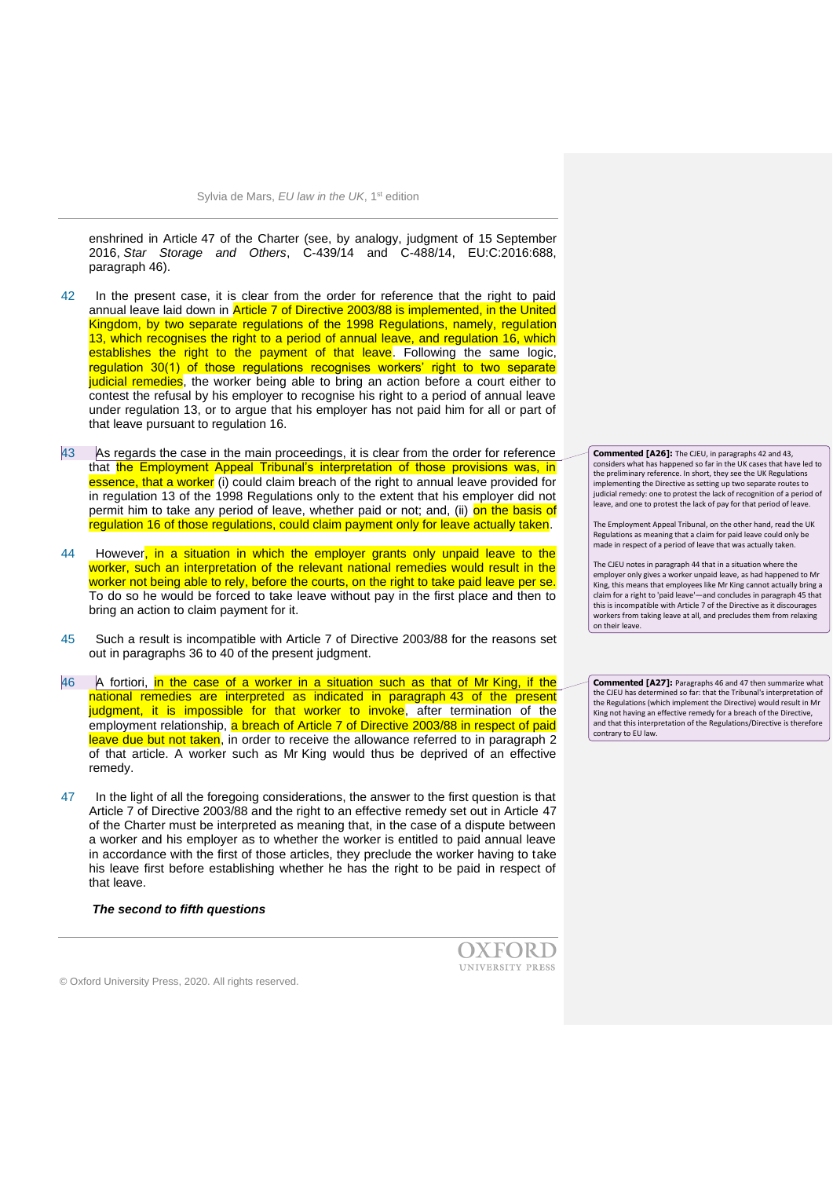enshrined in Article 47 of the Charter (see, by analogy, judgment of 15 September 2016, *Star Storage and Others*, C-439/14 and C-488/14, EU:C:2016:688, paragraph 46).

- 42 In the present case, it is clear from the order for reference that the right to paid annual leave laid down in Article 7 of Directive 2003/88 is implemented, in the United Kingdom, by two separate regulations of the 1998 Regulations, namely, regulation 13, which recognises the right to a period of annual leave, and regulation 16, which establishes the right to the payment of that leave. Following the same logic, regulation 30(1) of those regulations recognises workers' right to two separate judicial remedies, the worker being able to bring an action before a court either to contest the refusal by his employer to recognise his right to a period of annual leave under regulation 13, or to argue that his employer has not paid him for all or part of that leave pursuant to regulation 16.
- 43 As regards the case in the main proceedings, it is clear from the order for reference that the Employment Appeal Tribunal's interpretation of those provisions was, in essence, that a worker (i) could claim breach of the right to annual leave provided for in regulation 13 of the 1998 Regulations only to the extent that his employer did not permit him to take any period of leave, whether paid or not; and, (ii) on the basis of regulation 16 of those regulations, could claim payment only for leave actually taken.
- 44 However, in a situation in which the employer grants only unpaid leave to the worker, such an interpretation of the relevant national remedies would result in the worker not being able to rely, before the courts, on the right to take paid leave per se. To do so he would be forced to take leave without pay in the first place and then to bring an action to claim payment for it.
- 45 Such a result is incompatible with Article 7 of Directive 2003/88 for the reasons set out in paragraphs 36 to 40 of the present judgment.
- 46 A fortiori, in the case of a worker in a situation such as that of Mr King, if the national remedies are interpreted as indicated in paragraph 43 of the present judgment, it is impossible for that worker to invoke, after termination of the employment relationship, a breach of Article 7 of Directive 2003/88 in respect of paid leave due but not taken, in order to receive the allowance referred to in paragraph 2 of that article. A worker such as Mr King would thus be deprived of an effective remedy.
- 47 In the light of all the foregoing considerations, the answer to the first question is that Article 7 of Directive 2003/88 and the right to an effective remedy set out in Article 47 of the Charter must be interpreted as meaning that, in the case of a dispute between a worker and his employer as to whether the worker is entitled to paid annual leave in accordance with the first of those articles, they preclude the worker having to take his leave first before establishing whether he has the right to be paid in respect of that leave.

*The second to fifth questions*

**Commented [A26]:** The CJEU, in paragraphs 42 and 43, considers what has happened so far in the UK cases that have led to the preliminary reference. In short, they see the UK Regulations implementing the Directive as setting up two separate routes to judicial remedy: one to protest the lack of recognition of a period of leave, and one to protest the lack of pay for that period of leave.

The Employment Appeal Tribunal, on the other hand, read the UK Regulations as meaning that a claim for paid leave could only be made in respect of a period of leave that was actually taken.

The CJEU notes in paragraph 44 that in a situation where the employer only gives a worker unpaid leave, as had happened to Mr King, this means that employees like Mr King cannot actually bring a claim for a right to 'paid leave'—and concludes in paragraph 45 that this is incompatible with Article 7 of the Directive as it discourages workers from taking leave at all, and precludes them from relaxing on their leave.

**Commented [A27]:** Paragraphs 46 and 47 then summarize what the CJEU has determined so far: that the Tribunal's interpretation of the Regulations (which implement the Directive) would result in Mr King not having an effective remedy for a breach of the Directive, and that this interpretation of the Regulations/Directive is therefore contrary to EU law.

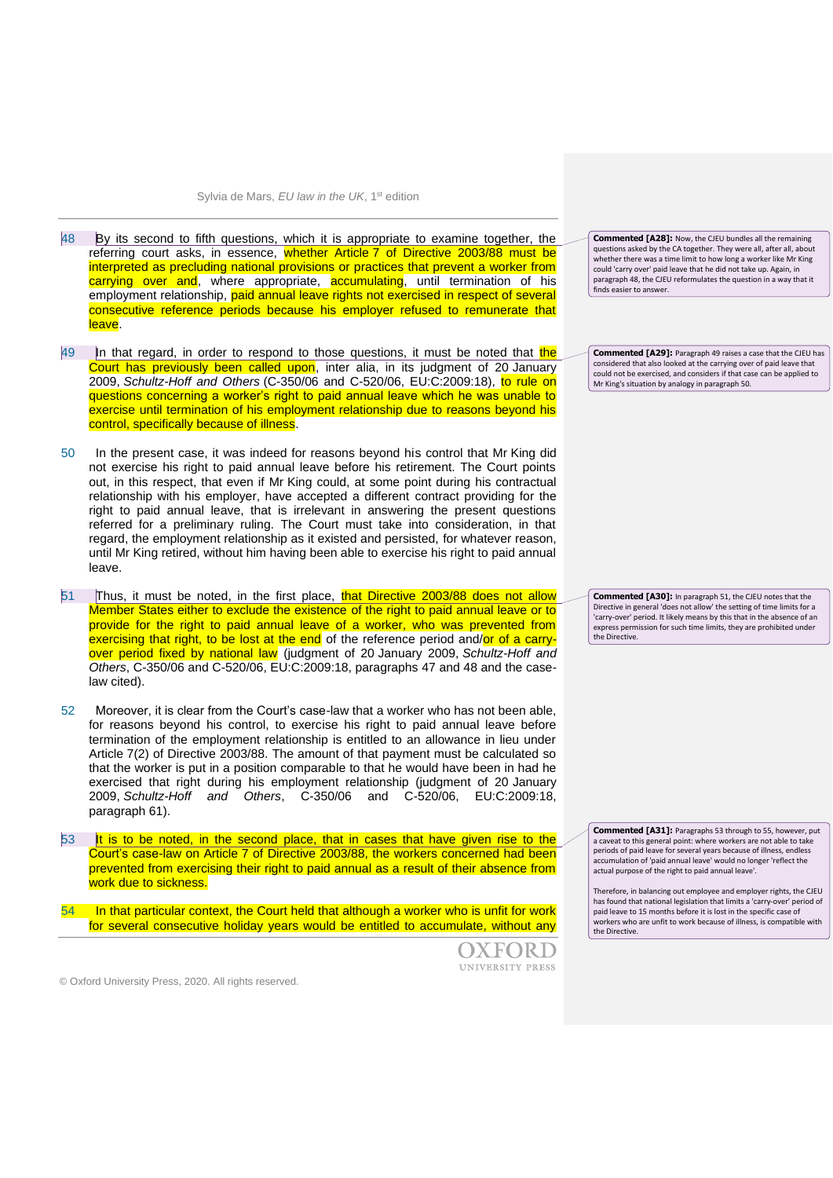- 48 By its second to fifth questions, which it is appropriate to examine together, the referring court asks, in essence, whether Article 7 of Directive 2003/88 must be interpreted as precluding national provisions or practices that prevent a worker from carrying over and, where appropriate, **accumulating**, until termination of his employment relationship, paid annual leave rights not exercised in respect of several consecutive reference periods because his employer refused to remunerate that leave.
- 49 In that regard, in order to respond to those questions, it must be noted that the Court has previously been called upon, inter alia, in its judgment of 20 January 2009, *Schultz-Hoff and Others* (C-350/06 and C-520/06, EU:C:2009:18), to rule on questions concerning a worker's right to paid annual leave which he was unable to exercise until termination of his employment relationship due to reasons beyond his control, specifically because of illness.
- 50 In the present case, it was indeed for reasons beyond his control that Mr King did not exercise his right to paid annual leave before his retirement. The Court points out, in this respect, that even if Mr King could, at some point during his contractual relationship with his employer, have accepted a different contract providing for the right to paid annual leave, that is irrelevant in answering the present questions referred for a preliminary ruling. The Court must take into consideration, in that regard, the employment relationship as it existed and persisted, for whatever reason, until Mr King retired, without him having been able to exercise his right to paid annual leave.
- 51 Thus, it must be noted, in the first place, that Directive 2003/88 does not allow Member States either to exclude the existence of the right to paid annual leave or to provide for the right to paid annual leave of a worker, who was prevented from exercising that right, to be lost at the end of the reference period and/or of a carryover period fixed by national law (judgment of 20 January 2009, *Schultz-Hoff and Others*, C-350/06 and C-520/06, EU:C:2009:18, paragraphs 47 and 48 and the caselaw cited).
- 52 Moreover, it is clear from the Court's case-law that a worker who has not been able, for reasons beyond his control, to exercise his right to paid annual leave before termination of the employment relationship is entitled to an allowance in lieu under Article 7(2) of Directive 2003/88. The amount of that payment must be calculated so that the worker is put in a position comparable to that he would have been in had he exercised that right during his employment relationship (judgment of 20 January 2009, *Schultz-Hoff and Others*, C-350/06 and C-520/06, EU:C:2009:18, paragraph 61).
- $53$  It is to be noted, in the second place, that in cases that have given rise to the Court's case-law on Article 7 of Directive 2003/88, the workers concerned had been prevented from exercising their right to paid annual as a result of their absence from work due to sickness.
- In that particular context, the Court held that although a worker who is unfit for work for several consecutive holiday years would be entitled to accumulate, without any

OXFORD UNIVERSITY PRESS **Commented [A28]:** Now, the CJEU bundles all the remaining questions asked by the CA together. They were all, after all, about whether there was a time limit to how long a worker like Mr King could 'carry over' paid leave that he did not take up. Again, in paragraph 48, the CJEU reformulates the question in a way that it finds easier to answer.

**Commented [A29]:** Paragraph 49 raises a case that the CJEU has considered that also looked at the carrying over of paid leave that could not be exercised, and considers if that case can be applied to Mr King's situation by analogy in paragraph 50.

**Commented [A30]:** In paragraph 51, the CJEU notes that the Directive in general 'does not allow' the setting of time limits for a 'carry-over' period. It likely means by this that in the absence of an express permission for such time limits, they are prohibited under the Directive.

**Commented [A31]:** Paragraphs 53 through to 55, however, put a caveat to this general point: where workers are not able to take periods of paid leave for several years because of illness, endless accumulation of 'paid annual leave' would no longer 'reflect the actual purpose of the right to paid annual leave'.

Therefore, in balancing out employee and employer rights, the CJEU has found that national legislation that limits a 'carry-over' period of paid leave to 15 months before it is lost in the specific case of workers who are unfit to work because of illness, is compatible with the Directive.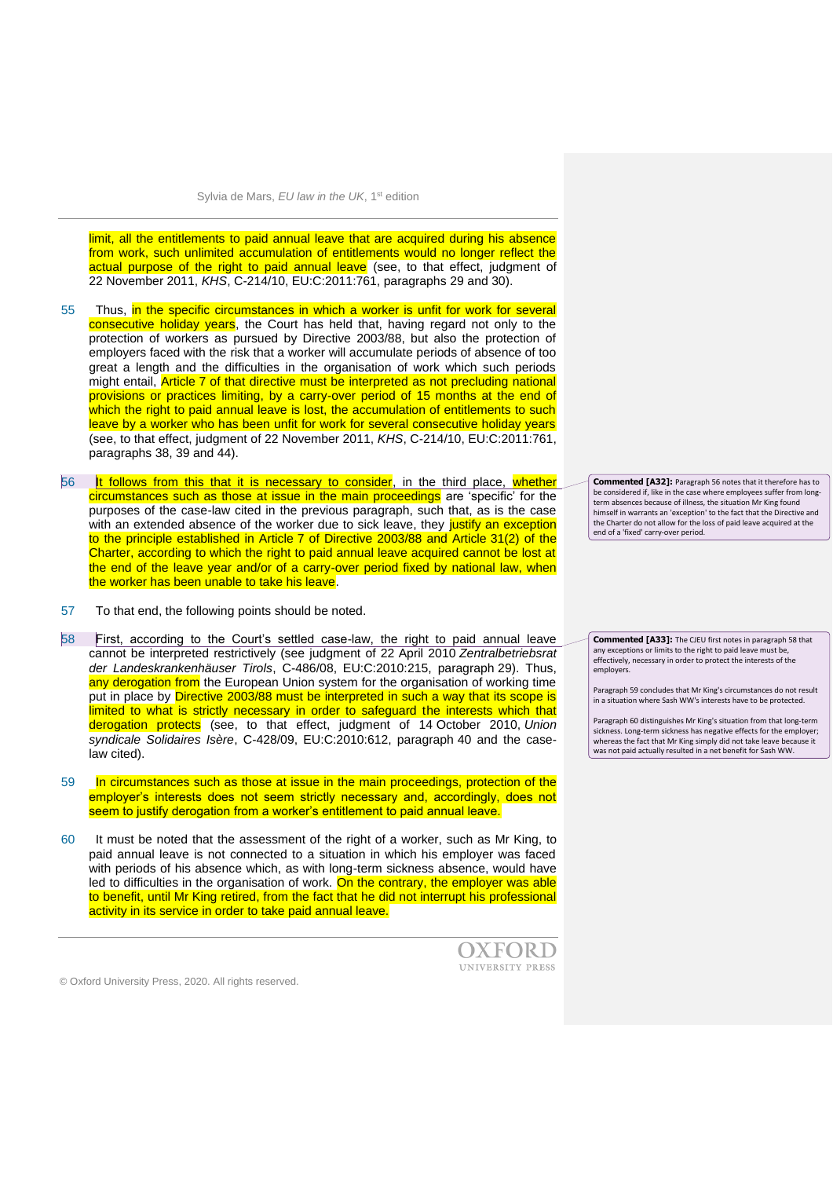limit, all the entitlements to paid annual leave that are acquired during his absence from work, such unlimited accumulation of entitlements would no longer reflect the actual purpose of the right to paid annual leave (see, to that effect, judgment of 22 November 2011, *KHS*, C-214/10, EU:C:2011:761, paragraphs 29 and 30).

- 55 Thus, in the specific circumstances in which a worker is unfit for work for several consecutive holiday years, the Court has held that, having regard not only to the protection of workers as pursued by Directive 2003/88, but also the protection of employers faced with the risk that a worker will accumulate periods of absence of too great a length and the difficulties in the organisation of work which such periods might entail, Article 7 of that directive must be interpreted as not precluding national provisions or practices limiting, by a carry-over period of 15 months at the end of which the right to paid annual leave is lost, the accumulation of entitlements to such leave by a worker who has been unfit for work for several consecutive holiday years (see, to that effect, judgment of 22 November 2011, *KHS*, C-214/10, EU:C:2011:761, paragraphs 38, 39 and 44).
- 56 It follows from this that it is necessary to consider, in the third place, whether circumstances such as those at issue in the main proceedings are 'specific' for the purposes of the case-law cited in the previous paragraph, such that, as is the case with an extended absence of the worker due to sick leave, they justify an exception to the principle established in Article 7 of Directive 2003/88 and Article 31(2) of the Charter, according to which the right to paid annual leave acquired cannot be lost at the end of the leave year and/or of a carry-over period fixed by national law, when the worker has been unable to take his leave.
- 57 To that end, the following points should be noted.
- 58 First, according to the Court's settled case-law, the right to paid annual leave cannot be interpreted restrictively (see judgment of 22 April 2010 *Zentralbetriebsrat der Landeskrankenhäuser Tirols*, C-486/08, EU:C:2010:215, paragraph 29). Thus, any derogation from the European Union system for the organisation of working time put in place by Directive 2003/88 must be interpreted in such a way that its scope is limited to what is strictly necessary in order to safeguard the interests which that derogation protects (see, to that effect, judgment of 14 October 2010, *Union syndicale Solidaires Isère*, C-428/09, EU:C:2010:612, paragraph 40 and the caselaw cited).
- 59 In circumstances such as those at issue in the main proceedings, protection of the employer's interests does not seem strictly necessary and, accordingly, does not seem to justify derogation from a worker's entitlement to paid annual leave.
- 60 It must be noted that the assessment of the right of a worker, such as Mr King, to paid annual leave is not connected to a situation in which his employer was faced with periods of his absence which, as with long-term sickness absence, would have led to difficulties in the organisation of work. On the contrary, the employer was able to benefit, until Mr King retired, from the fact that he did not interrupt his professional activity in its service in order to take paid annual leave.



© Oxford University Press, 2020. All rights reserved.

**Commented [A32]:** Paragraph 56 notes that it therefore has to be considered if, like in the case where employees suffer from longterm absences because of illness, the situation Mr King found himself in warrants an 'exception' to the fact that the Directive and the Charter do not allow for the loss of paid leave acquired at the end of a 'fixed' carry-over period.

**Commented [A33]:** The CJEU first notes in paragraph 58 that any exceptions or limits to the right to paid leave must be, effectively, necessary in order to protect the interests of the employers.

Paragraph 59 concludes that Mr King's circumstances do not result in a situation where Sash WW's interests have to be protected.

Paragraph 60 distinguishes Mr King's situation from that long-term sickness. Long-term sickness has negative effects for the employer; whereas the fact that Mr King simply did not take leave because it was not paid actually resulted in a net benefit for Sash WW.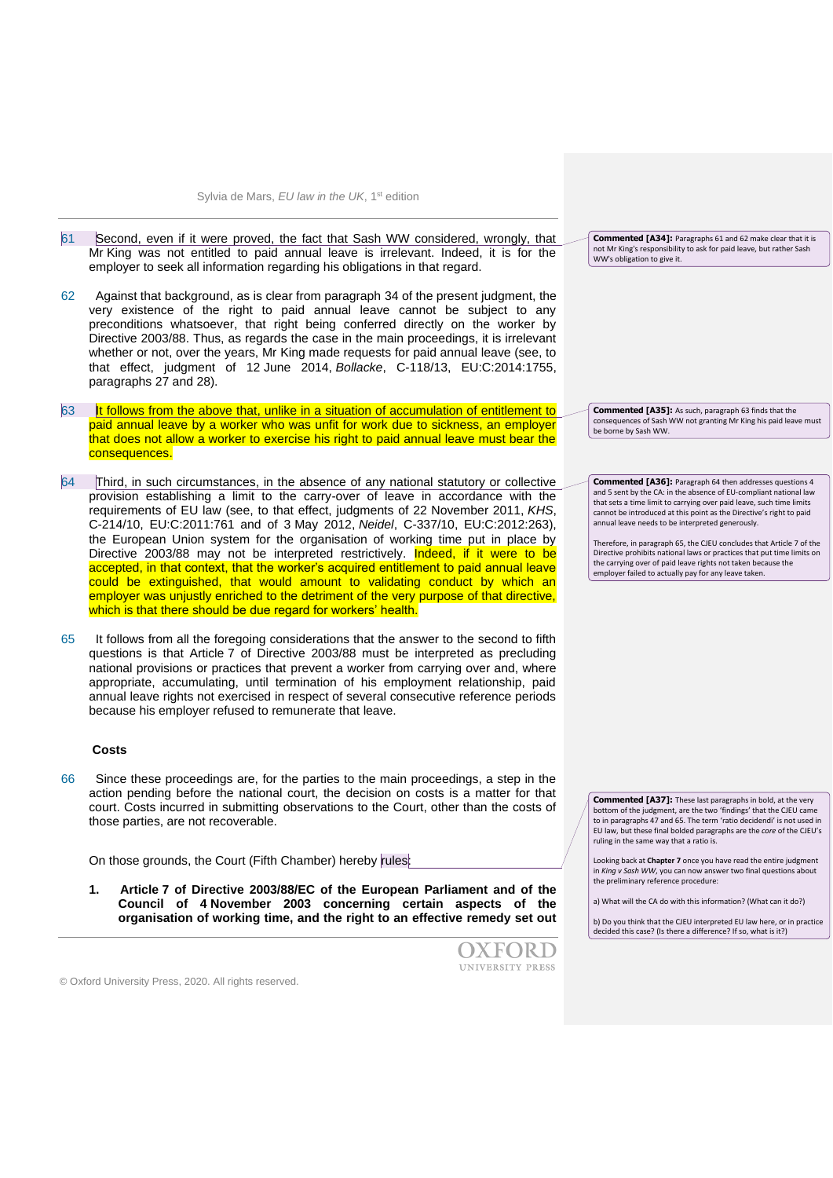Sylvia de Mars, *EU law in the UK*, 1st edition

- 61 Second, even if it were proved, the fact that Sash WW considered, wrongly, that Mr King was not entitled to paid annual leave is irrelevant. Indeed, it is for the employer to seek all information regarding his obligations in that regard.
- 62 Against that background, as is clear from paragraph 34 of the present judgment, the very existence of the right to paid annual leave cannot be subject to any preconditions whatsoever, that right being conferred directly on the worker by Directive 2003/88. Thus, as regards the case in the main proceedings, it is irrelevant whether or not, over the years, Mr King made requests for paid annual leave (see, to that effect, judgment of 12 June 2014, *Bollacke*, C-118/13, EU:C:2014:1755, paragraphs 27 and 28).
- 63 It follows from the above that, unlike in a situation of accumulation of entitlement to paid annual leave by a worker who was unfit for work due to sickness, an employer that does not allow a worker to exercise his right to paid annual leave must bear the consequences.
- 64 Third, in such circumstances, in the absence of any national statutory or collective provision establishing a limit to the carry-over of leave in accordance with the requirements of EU law (see, to that effect, judgments of 22 November 2011, *KHS*, C-214/10, EU:C:2011:761 and of 3 May 2012, *Neidel*, C-337/10, EU:C:2012:263), the European Union system for the organisation of working time put in place by Directive 2003/88 may not be interpreted restrictively. Indeed, if it were to be accepted, in that context, that the worker's acquired entitlement to paid annual leave could be extinguished, that would amount to validating conduct by which an employer was unjustly enriched to the detriment of the very purpose of that directive, which is that there should be due regard for workers' health.
- 65 It follows from all the foregoing considerations that the answer to the second to fifth questions is that Article 7 of Directive 2003/88 must be interpreted as precluding national provisions or practices that prevent a worker from carrying over and, where appropriate, accumulating, until termination of his employment relationship, paid annual leave rights not exercised in respect of several consecutive reference periods because his employer refused to remunerate that leave.

#### **Costs**

66 Since these proceedings are, for the parties to the main proceedings, a step in the action pending before the national court, the decision on costs is a matter for that court. Costs incurred in submitting observations to the Court, other than the costs of those parties, are not recoverable.

On those grounds, the Court (Fifth Chamber) hereby rules:

**1. Article 7 of Directive 2003/88/EC of the European Parliament and of the Council of 4 November 2003 concerning certain aspects of the organisation of working time, and the right to an effective remedy set out** 



**Commented [A34]:** Paragraphs 61 and 62 make clear that it is not Mr King's responsibility to ask for paid leave, but rather Sash WW's obligation to give it.

**Commented [A35]:** As such, paragraph 63 finds that the consequences of Sash WW not granting Mr King his paid leave must be borne by Sash WW.

**Commented [A36]:** Paragraph 64 then addresses questions 4 and 5 sent by the CA: in the absence of EU-compliant national law that sets a time limit to carrying over paid leave, such time limits cannot be introduced at this point as the Directive's right to paid annual leave needs to be interpreted generously.

Therefore, in paragraph 65, the CJEU concludes that Article 7 of the Directive prohibits national laws or practices that put time limits on the carrying over of paid leave rights not taken because the employer failed to actually pay for any leave taken.

**Commented [A37]:** These last paragraphs in bold, at the very bottom of the judgment, are the two 'findings' that the CJEU came to in paragraphs 47 and 65. The term 'ratio decidendi' is not used in EU law, but these final bolded paragraphs are the *core* of the CJEU's ruling in the same way that a ratio is.

Looking back at **Chapter 7** once you have read the entire judgment in *King v Sash WW*, you can now answer two final questions about the preliminary reference procedure:

a) What will the CA do with this information? (What can it do?)

b) Do you think that the CJEU interpreted EU law here, or in practice decided this case? (Is there a difference? If so, what is it?)